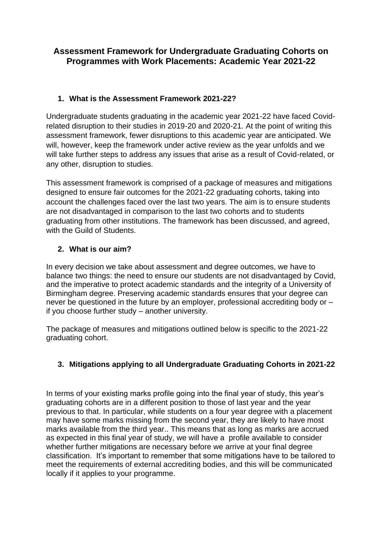# **Assessment Framework for Undergraduate Graduating Cohorts on Programmes with Work Placements: Academic Year 2021-22**

# **1. What is the Assessment Framework 2021-22?**

Undergraduate students graduating in the academic year 2021-22 have faced Covidrelated disruption to their studies in 2019-20 and 2020-21. At the point of writing this assessment framework, fewer disruptions to this academic year are anticipated. We will, however, keep the framework under active review as the year unfolds and we will take further steps to address any issues that arise as a result of Covid-related, or any other, disruption to studies.

This assessment framework is comprised of a package of measures and mitigations designed to ensure fair outcomes for the 2021-22 graduating cohorts, taking into account the challenges faced over the last two years. The aim is to ensure students are not disadvantaged in comparison to the last two cohorts and to students graduating from other institutions. The framework has been discussed, and agreed, with the Guild of Students.

# **2. What is our aim?**

In every decision we take about assessment and degree outcomes, we have to balance two things: the need to ensure our students are not disadvantaged by Covid, and the imperative to protect academic standards and the integrity of a University of Birmingham degree. Preserving academic standards ensures that your degree can never be questioned in the future by an employer, professional accrediting body or – if you choose further study – another university.

The package of measures and mitigations outlined below is specific to the 2021-22 graduating cohort.

# **3. Mitigations applying to all Undergraduate Graduating Cohorts in 2021-22**

In terms of your existing marks profile going into the final year of study, this year's graduating cohorts are in a different position to those of last year and the year previous to that. In particular, while students on a four year degree with a placement may have some marks missing from the second year, they are likely to have most marks available from the third year.. This means that as long as marks are accrued as expected in this final year of study, we will have a profile available to consider whether further mitigations are necessary before we arrive at your final degree classification. It's important to remember that some mitigations have to be tailored to meet the requirements of external accrediting bodies, and this will be communicated locally if it applies to your programme.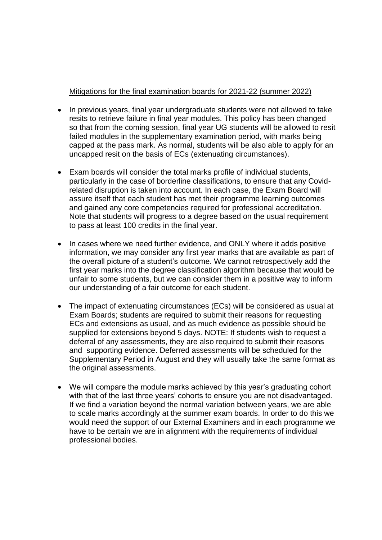#### Mitigations for the final examination boards for 2021-22 (summer 2022)

- In previous years, final year undergraduate students were not allowed to take resits to retrieve failure in final year modules. This policy has been changed so that from the coming session, final year UG students will be allowed to resit failed modules in the supplementary examination period, with marks being capped at the pass mark. As normal, students will be also able to apply for an uncapped resit on the basis of ECs (extenuating circumstances).
- Exam boards will consider the total marks profile of individual students, particularly in the case of borderline classifications, to ensure that any Covidrelated disruption is taken into account. In each case, the Exam Board will assure itself that each student has met their programme learning outcomes and gained any core competencies required for professional accreditation. Note that students will progress to a degree based on the usual requirement to pass at least 100 credits in the final year.
- In cases where we need further evidence, and ONLY where it adds positive information, we may consider any first year marks that are available as part of the overall picture of a student's outcome. We cannot retrospectively add the first year marks into the degree classification algorithm because that would be unfair to some students, but we can consider them in a positive way to inform our understanding of a fair outcome for each student.
- The impact of extenuating circumstances (ECs) will be considered as usual at Exam Boards; students are required to submit their reasons for requesting ECs and extensions as usual, and as much evidence as possible should be supplied for extensions beyond 5 days. NOTE: If students wish to request a deferral of any assessments, they are also required to submit their reasons and supporting evidence. Deferred assessments will be scheduled for the Supplementary Period in August and they will usually take the same format as the original assessments.
- We will compare the module marks achieved by this year's graduating cohort with that of the last three years' cohorts to ensure you are not disadvantaged. If we find a variation beyond the normal variation between years, we are able to scale marks accordingly at the summer exam boards. In order to do this we would need the support of our External Examiners and in each programme we have to be certain we are in alignment with the requirements of individual professional bodies.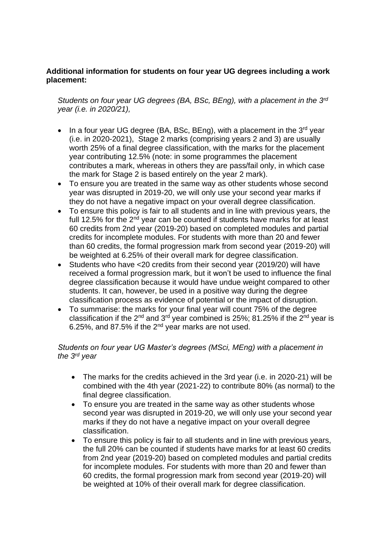### **Additional information for students on four year UG degrees including a work placement:**

*Students on four year UG degrees (BA, BSc, BEng), with a placement in the 3rd year (i.e. in 2020/21),* 

- In a four year UG degree (BA, BSc, BEng), with a placement in the  $3^{rd}$  year (i.e. in 2020-2021), Stage 2 marks (comprising years 2 and 3) are usually worth 25% of a final degree classification, with the marks for the placement year contributing 12.5% (note: in some programmes the placement contributes a mark, whereas in others they are pass/fail only, in which case the mark for Stage 2 is based entirely on the year 2 mark).
- To ensure you are treated in the same way as other students whose second year was disrupted in 2019-20, we will only use your second year marks if they do not have a negative impact on your overall degree classification.
- To ensure this policy is fair to all students and in line with previous years, the full 12.5% for the  $2<sup>nd</sup>$  year can be counted if students have marks for at least 60 credits from 2nd year (2019-20) based on completed modules and partial credits for incomplete modules. For students with more than 20 and fewer than 60 credits, the formal progression mark from second year (2019-20) will be weighted at 6.25% of their overall mark for degree classification.
- Students who have <20 credits from their second year (2019/20) will have received a formal progression mark, but it won't be used to influence the final degree classification because it would have undue weight compared to other students. It can, however, be used in a positive way during the degree classification process as evidence of potential or the impact of disruption.
- To summarise: the marks for your final year will count 75% of the degree classification if the  $2^{nd}$  and  $3^{rd}$  year combined is 25%; 81.25% if the  $2^{nd}$  year is 6.25%, and 87.5% if the  $2^{nd}$  year marks are not used.

### *Students on four year UG Master's degrees (MSci, MEng) with a placement in the 3rd year*

- The marks for the credits achieved in the 3rd year (i.e. in 2020-21) will be combined with the 4th year (2021-22) to contribute 80% (as normal) to the final degree classification.
- To ensure you are treated in the same way as other students whose second year was disrupted in 2019-20, we will only use your second year marks if they do not have a negative impact on your overall degree classification.
- To ensure this policy is fair to all students and in line with previous years, the full 20% can be counted if students have marks for at least 60 credits from 2nd year (2019-20) based on completed modules and partial credits for incomplete modules. For students with more than 20 and fewer than 60 credits, the formal progression mark from second year (2019-20) will be weighted at 10% of their overall mark for degree classification.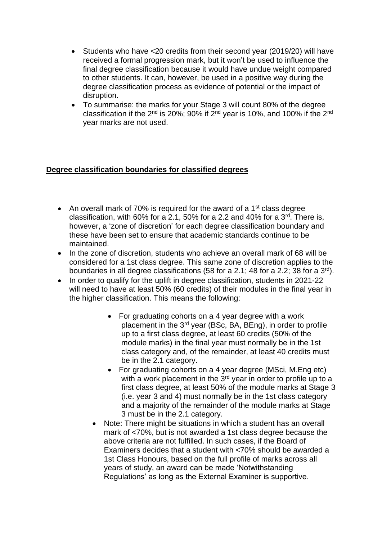- Students who have <20 credits from their second year (2019/20) will have received a formal progression mark, but it won't be used to influence the final degree classification because it would have undue weight compared to other students. It can, however, be used in a positive way during the degree classification process as evidence of potential or the impact of disruption.
- To summarise: the marks for your Stage 3 will count 80% of the degree classification if the 2nd is 20%; 90% if 2nd year is 10%, and 100% if the 2nd year marks are not used.

## **Degree classification boundaries for classified degrees**

- An overall mark of 70% is required for the award of a 1<sup>st</sup> class degree classification, with 60% for a 2.1, 50% for a 2.2 and 40% for a  $3<sup>rd</sup>$ . There is, however, a 'zone of discretion' for each degree classification boundary and these have been set to ensure that academic standards continue to be maintained.
- In the zone of discretion, students who achieve an overall mark of 68 will be considered for a 1st class degree. This same zone of discretion applies to the boundaries in all degree classifications (58 for a 2.1; 48 for a 2.2; 38 for a 3rd).
- In order to qualify for the uplift in degree classification, students in 2021-22 will need to have at least 50% (60 credits) of their modules in the final year in the higher classification. This means the following:
	- For graduating cohorts on a 4 year degree with a work placement in the 3rd year (BSc, BA, BEng), in order to profile up to a first class degree, at least 60 credits (50% of the module marks) in the final year must normally be in the 1st class category and, of the remainder, at least 40 credits must be in the 2.1 category.
	- For graduating cohorts on a 4 year degree (MSci, M.Eng etc) with a work placement in the 3<sup>rd</sup> year in order to profile up to a first class degree, at least 50% of the module marks at Stage 3 (i.e. year 3 and 4) must normally be in the 1st class category and a majority of the remainder of the module marks at Stage 3 must be in the 2.1 category.
	- Note: There might be situations in which a student has an overall mark of <70%, but is not awarded a 1st class degree because the above criteria are not fulfilled. In such cases, if the Board of Examiners decides that a student with <70% should be awarded a 1st Class Honours, based on the full profile of marks across all years of study, an award can be made 'Notwithstanding Regulations' as long as the External Examiner is supportive.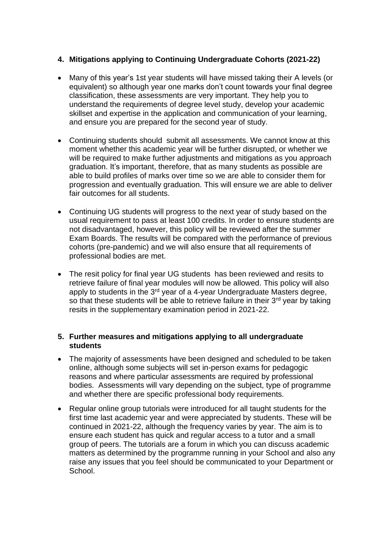## **4. Mitigations applying to Continuing Undergraduate Cohorts (2021-22)**

- Many of this year's 1st year students will have missed taking their A levels (or equivalent) so although year one marks don't count towards your final degree classification, these assessments are very important. They help you to understand the requirements of degree level study, develop your academic skillset and expertise in the application and communication of your learning, and ensure you are prepared for the second year of study.
- Continuing students should submit all assessments. We cannot know at this moment whether this academic year will be further disrupted, or whether we will be required to make further adjustments and mitigations as you approach graduation. It's important, therefore, that as many students as possible are able to build profiles of marks over time so we are able to consider them for progression and eventually graduation. This will ensure we are able to deliver fair outcomes for all students.
- Continuing UG students will progress to the next year of study based on the usual requirement to pass at least 100 credits. In order to ensure students are not disadvantaged, however, this policy will be reviewed after the summer Exam Boards. The results will be compared with the performance of previous cohorts (pre-pandemic) and we will also ensure that all requirements of professional bodies are met.
- The resit policy for final year UG students has been reviewed and resits to retrieve failure of final year modules will now be allowed. This policy will also apply to students in the 3<sup>rd</sup> year of a 4-year Undergraduate Masters degree, so that these students will be able to retrieve failure in their  $3<sup>rd</sup>$  year by taking resits in the supplementary examination period in 2021-22.

### **5. Further measures and mitigations applying to all undergraduate students**

- The majority of assessments have been designed and scheduled to be taken online, although some subjects will set in-person exams for pedagogic reasons and where particular assessments are required by professional bodies. Assessments will vary depending on the subject, type of programme and whether there are specific professional body requirements.
- Regular online group tutorials were introduced for all taught students for the first time last academic year and were appreciated by students. These will be continued in 2021-22, although the frequency varies by year. The aim is to ensure each student has quick and regular access to a tutor and a small group of peers. The tutorials are a forum in which you can discuss academic matters as determined by the programme running in your School and also any raise any issues that you feel should be communicated to your Department or School.